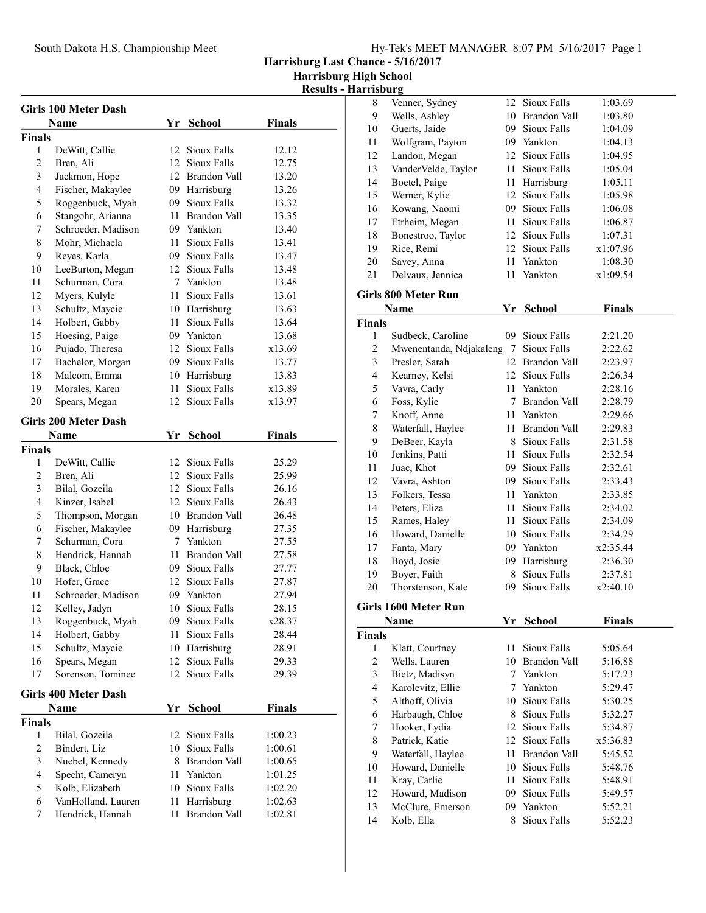South Dakota H.S. Championship Meet

Harrisburg Last Chance - 5/16/2017

Harrisburg High School

|                                |                                       |    |                                   |                | <b>Harrisburg High Schoo</b><br><b>Results - Harrisburg</b> |      |
|--------------------------------|---------------------------------------|----|-----------------------------------|----------------|-------------------------------------------------------------|------|
|                                |                                       |    |                                   |                | 8                                                           | Ver  |
|                                | <b>Girls 100 Meter Dash</b>           |    |                                   |                | 9                                                           | We   |
|                                | Name                                  | Yr | <b>School</b>                     | <b>Finals</b>  | 10                                                          | Gu   |
| <b>Finals</b>                  |                                       |    |                                   |                | 11                                                          | Wo   |
| $\mathbf{1}$<br>$\overline{c}$ | DeWitt, Callie                        |    | 12 Sioux Falls                    | 12.12          | 12                                                          | Lar  |
| 3                              | Bren, Ali                             |    | 12 Sioux Falls<br>12 Brandon Vall | 12.75          | 13                                                          | Var  |
| $\overline{4}$                 | Jackmon, Hope                         |    |                                   | 13.20          | 14                                                          | Bo   |
| 5                              | Fischer, Makaylee<br>Roggenbuck, Myah |    | 09 Harrisburg<br>09 Sioux Falls   | 13.26<br>13.32 | 15                                                          | We   |
| 6                              | Stangohr, Arianna                     |    | 11 Brandon Vall                   | 13.35          | 16                                                          | Ko   |
| 7                              | Schroeder, Madison                    |    | 09 Yankton                        |                | 17                                                          | Etr. |
| $\,$ 8 $\,$                    |                                       | 11 | Sioux Falls                       | 13.40          | 18                                                          | B01  |
| 9                              | Mohr, Michaela<br>Reyes, Karla        |    | 09 Sioux Falls                    | 13.41<br>13.47 | 19                                                          | Ric  |
| 10                             | LeeBurton, Megan                      |    | 12 Sioux Falls                    | 13.48          | 20                                                          | Sav  |
| 11                             | Schurman, Cora                        |    | 7 Yankton                         | 13.48          | 21                                                          | Del  |
| 12                             | Myers, Kulyle                         |    | 11 Sioux Falls                    | 13.61          | Girls 800                                                   |      |
| 13                             | Schultz, Maycie                       |    | 10 Harrisburg                     | 13.63          |                                                             | Nan  |
| 14                             | Holbert, Gabby                        |    | 11 Sioux Falls                    | 13.64          | <b>Finals</b>                                               |      |
| 15                             | Hoesing, Paige                        |    | 09 Yankton                        | 13.68          | 1                                                           | Suc  |
| 16                             | Pujado, Theresa                       |    | 12 Sioux Falls                    | x13.69         | $\overline{2}$                                              | Mv   |
| 17                             | Bachelor, Morgan                      |    | 09 Sioux Falls                    | 13.77          | 3                                                           | Pre  |
| 18                             | Malcom, Emma                          |    | 10 Harrisburg                     | 13.83          | $\overline{4}$                                              | Kea  |
| 19                             | Morales, Karen                        | 11 | Sioux Falls                       | x13.89         | 5                                                           | Vav  |
| 20                             | Spears, Megan                         | 12 | Sioux Falls                       | x13.97         | 6                                                           | Fos  |
|                                |                                       |    |                                   |                | 7                                                           | Kn   |
|                                | <b>Girls 200 Meter Dash</b>           |    |                                   |                | 8                                                           | Wa   |
|                                | Name                                  |    | Yr School                         | Finals         | 9                                                           | Del  |
| <b>Finals</b>                  |                                       |    |                                   |                | 10                                                          | Jen  |
| 1                              | DeWitt, Callie                        |    | 12 Sioux Falls                    | 25.29          | 11                                                          | Jua  |
| $\mathfrak{2}$                 | Bren, Ali                             |    | 12 Sioux Falls                    | 25.99          | 12                                                          | Vay  |
| 3                              | Bilal, Gozeila                        |    | 12 Sioux Falls                    | 26.16          | 13                                                          | Fol  |
| $\overline{4}$                 | Kinzer, Isabel                        |    | 12 Sioux Falls                    | 26.43          | 14                                                          | Pet  |
| 5                              | Thompson, Morgan                      |    | 10 Brandon Vall                   | 26.48          | 15                                                          | Rai  |
| 6                              | Fischer, Makaylee                     |    | 09 Harrisburg                     | 27.35          | 16                                                          | Ho   |
| 7                              | Schurman, Cora                        |    | 7 Yankton                         | 27.55          | 17                                                          | Far  |
| 8                              | Hendrick, Hannah                      |    | 11 Brandon Vall                   | 27.58          | 18                                                          | Boy  |
| 9                              | Black, Chloe                          |    | 09 Sioux Falls                    | 27.77          | 19                                                          | Boy  |
| 10                             | Hofer, Grace                          |    | 12 Sioux Falls                    | 27.87          | 20                                                          | Tho  |
| 11                             | Schroeder, Madison                    |    | 09 Yankton                        | 27.94          |                                                             |      |
| 12                             | Kelley, Jadyn                         | 10 | Sioux Falls                       | 28.15          | <b>Girls 1600</b>                                           |      |
| 13                             | Roggenbuck, Myah                      |    | 09 Sioux Falls                    | x28.37         |                                                             | Nan  |
| 14                             | Holbert, Gabby                        |    | 11 Sioux Falls                    | 28.44          | <b>Finals</b>                                               |      |
| 15                             | Schultz, Maycie                       |    | 10 Harrisburg                     | 28.91          | $\mathbf{1}$                                                | Kla  |
| 16                             | Spears, Megan                         |    | 12 Sioux Falls                    | 29.33          | $\sqrt{2}$                                                  | We   |
| 17                             | Sorenson, Tominee                     |    | 12 Sioux Falls                    | 29.39          | $\mathfrak{Z}$                                              | Bie  |
|                                | <b>Girls 400 Meter Dash</b>           |    |                                   |                | $\overline{4}$                                              | Kai  |
|                                | Name                                  | Yr | <b>School</b>                     | Finals         | 5                                                           | Alt  |
| <b>Finals</b>                  |                                       |    |                                   |                | 6                                                           | Har  |
| $\mathbf{1}$                   | Bilal, Gozeila                        | 12 | Sioux Falls                       | 1:00.23        | 7                                                           | Ho   |
| $\sqrt{2}$                     | Bindert, Liz                          | 10 | Sioux Falls                       | 1:00.61        | 8                                                           | Pat  |
| $\mathfrak{Z}$                 | Nuebel, Kennedy                       |    | 8 Brandon Vall                    | 1:00.65        | 9                                                           | Wa   |
| $\overline{\mathbf{4}}$        | Specht, Cameryn                       | 11 | Yankton                           | 1:01.25        | 10                                                          | Ho   |
| 5                              | Kolb, Elizabeth                       |    | 10 Sioux Falls                    | 1:02.20        | 11                                                          | Kra  |
| 6                              | VanHolland, Lauren                    | 11 | Harrisburg                        | 1:02.63        | 12                                                          | Ho   |
| 7                              | Hendrick, Hannah                      | 11 | Brandon Vall                      | 1:02.81        | 13                                                          | Mc   |
|                                |                                       |    |                                   |                | 14                                                          | Ko   |
|                                |                                       |    |                                   |                |                                                             |      |

| iarrisburg    |                                       |    |                                |               |  |
|---------------|---------------------------------------|----|--------------------------------|---------------|--|
| 8             | Venner, Sydney                        |    | 12 Sioux Falls                 | 1:03.69       |  |
| 9             | Wells, Ashley                         |    | 10 Brandon Vall                | 1:03.80       |  |
| 10            | Guerts, Jaide                         |    | 09 Sioux Falls                 | 1:04.09       |  |
| 11            | Wolfgram, Payton                      |    | 09 Yankton                     | 1:04.13       |  |
| 12            | Landon, Megan                         |    | 12 Sioux Falls                 | 1:04.95       |  |
| 13            | VanderVelde, Taylor                   |    | 11 Sioux Falls                 | 1:05.04       |  |
| 14            | Boetel, Paige                         |    | 11 Harrisburg                  | 1:05.11       |  |
| 15            | Werner, Kylie                         |    | 12 Sioux Falls                 | 1:05.98       |  |
| 16            | Kowang, Naomi                         |    | 09 Sioux Falls                 | 1:06.08       |  |
| 17            | Etrheim, Megan                        |    | 11 Sioux Falls                 | 1:06.87       |  |
| 18            | Bonestroo, Taylor                     |    | 12 Sioux Falls                 | 1:07.31       |  |
| 19            | Rice, Remi                            |    | 12 Sioux Falls                 | x1:07.96      |  |
| 20            | Savey, Anna                           |    | 11 Yankton                     | 1:08.30       |  |
| 21            | Delvaux, Jennica                      | 11 | Yankton                        | x1:09.54      |  |
|               |                                       |    |                                |               |  |
|               | <b>Girls 800 Meter Run</b>            |    |                                |               |  |
|               | Name                                  | Yr | <b>School</b>                  | <b>Finals</b> |  |
| <b>Finals</b> |                                       |    |                                |               |  |
| 1             | Sudbeck, Caroline                     | 09 | Sioux Falls                    | 2:21.20       |  |
| 2             | Mwenentanda, Ndjakaleng 7 Sioux Falls |    |                                | 2:22.62       |  |
| 3             | Presler, Sarah                        |    | 12 Brandon Vall                | 2:23.97       |  |
| 4             | Kearney, Kelsi                        |    | 12 Sioux Falls                 | 2:26.34       |  |
| 5             | Vavra, Carly                          |    | 11 Yankton                     | 2:28.16       |  |
| 6             | Foss, Kylie                           |    | 7 Brandon Vall                 | 2:28.79       |  |
| 7             | Knoff, Anne                           |    | 11 Yankton                     | 2:29.66       |  |
| 8             | Waterfall, Haylee                     |    | 11 Brandon Vall                | 2:29.83       |  |
| 9             | DeBeer, Kayla                         |    | 8 Sioux Falls                  | 2:31.58       |  |
| 10            | Jenkins, Patti                        |    | 11 Sioux Falls                 | 2:32.54       |  |
| 11            | Juac, Khot                            |    | 09 Sioux Falls                 | 2:32.61       |  |
| 12            | Vavra, Ashton                         |    | 09 Sioux Falls                 | 2:33.43       |  |
| 13            | Folkers, Tessa                        |    | 11 Yankton                     | 2:33.85       |  |
| 14            | Peters, Eliza                         |    | 11 Sioux Falls                 | 2:34.02       |  |
| 15            | Rames, Haley                          |    | 11 Sioux Falls                 | 2:34.09       |  |
|               |                                       |    | 10 Sioux Falls                 |               |  |
| 16            | Howard, Danielle                      |    | 09 Yankton                     | 2:34.29       |  |
| 17            | Fanta, Mary                           |    |                                | x2:35.44      |  |
| 18            | Boyd, Josie                           |    | 09 Harrisburg<br>8 Sioux Falls | 2:36.30       |  |
| 19            | Boyer, Faith                          |    | Sioux Falls                    | 2:37.81       |  |
| 20            | Thorstenson, Kate                     | 09 |                                | x2:40.10      |  |
|               | <b>Girls 1600 Meter Run</b>           |    |                                |               |  |
|               | <b>Name</b>                           | Yr | <b>School</b>                  | Finals        |  |
| <b>Finals</b> |                                       |    |                                |               |  |
| 1             | Klatt, Courtney                       | 11 | Sioux Falls                    | 5:05.64       |  |
| 2             | Wells, Lauren                         |    | 10 Brandon Vall                | 5:16.88       |  |
| 3             | Bietz, Madisyn                        |    | 7 Yankton                      | 5:17.23       |  |
| 4             | Karolevitz, Ellie                     |    | 7 Yankton                      | 5:29.47       |  |
| 5             | Althoff, Olivia                       | 10 | Sioux Falls                    | 5:30.25       |  |
| 6             | Harbaugh, Chloe                       | 8  | Sioux Falls                    | 5:32.27       |  |
| 7             | Hooker, Lydia                         | 12 | Sioux Falls                    | 5:34.87       |  |
| 8             | Patrick, Katie                        | 12 | Sioux Falls                    | x5:36.83      |  |
| 9             | Waterfall, Haylee                     | 11 | <b>Brandon Vall</b>            | 5:45.52       |  |
| 10            | Howard, Danielle                      | 10 | Sioux Falls                    | 5:48.76       |  |
| 11            | Kray, Carlie                          | 11 | Sioux Falls                    | 5:48.91       |  |
| 12            | Howard, Madison                       | 09 | Sioux Falls                    | 5:49.57       |  |
| 13            | McClure, Emerson                      | 09 | Yankton                        | 5:52.21       |  |
| 14            | Kolb, Ella                            | 8  | Sioux Falls                    | 5:52.23       |  |
|               |                                       |    |                                |               |  |
|               |                                       |    |                                |               |  |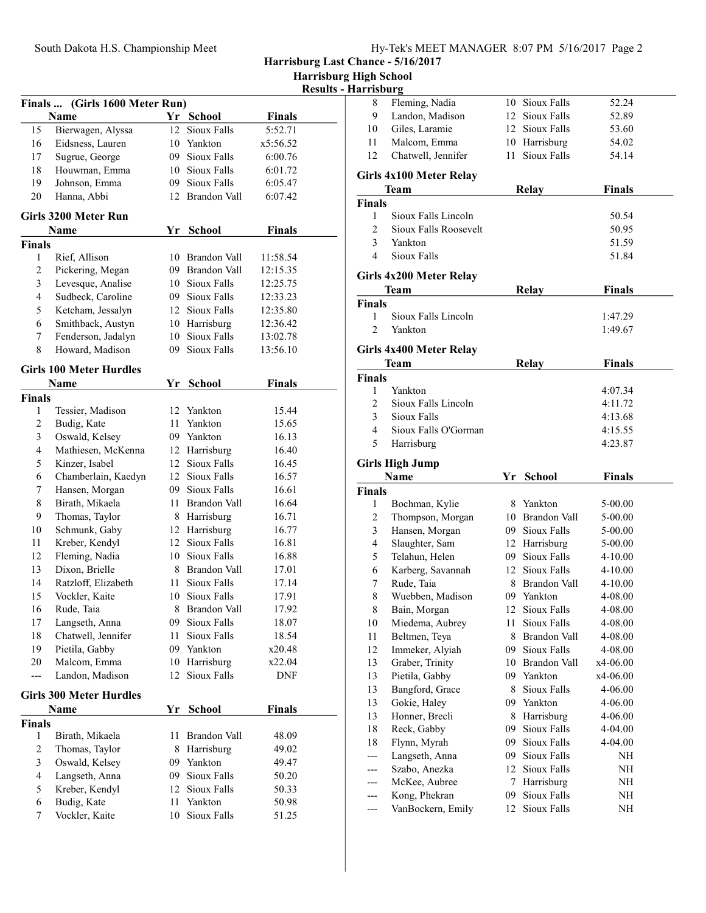Harrisburg Last Chance - 5/16/2017

| <b>Harrisburg High School</b> |  |  |
|-------------------------------|--|--|
|-------------------------------|--|--|

| <b>Results - Harrisburg</b> |
|-----------------------------|
|                             |

|               | Finals  (Girls 1600 Meter Run) |      |                     |               |  |  |
|---------------|--------------------------------|------|---------------------|---------------|--|--|
|               | <b>Name</b>                    |      | Yr School           | <b>Finals</b> |  |  |
| 15            | Bierwagen, Alyssa              | 12   | <b>Sioux Falls</b>  | 5:52.71       |  |  |
| 16            | Eidsness, Lauren               |      | 10 Yankton          | x5:56.52      |  |  |
| 17            | Sugrue, George                 |      | 09 Sioux Falls      | 6:00.76       |  |  |
| 18            | Houwman, Emma                  |      | 10 Sioux Falls      | 6:01.72       |  |  |
| 19            | Johnson, Emma                  |      | 09 Sioux Falls      | 6:05.47       |  |  |
| 20            | Hanna, Abbi                    |      | 12 Brandon Vall     | 6:07.42       |  |  |
|               | Girls 3200 Meter Run           |      |                     |               |  |  |
|               | Name                           |      | Yr School           | <b>Finals</b> |  |  |
| Finals        |                                |      |                     |               |  |  |
| 1             | Rief, Allison                  |      | 10 Brandon Vall     | 11:58.54      |  |  |
| 2             | Pickering, Megan               |      | 09 Brandon Vall     | 12:15.35      |  |  |
| 3             | Levesque, Analise              |      | 10 Sioux Falls      | 12:25.75      |  |  |
| 4             | Sudbeck, Caroline              |      | 09 Sioux Falls      | 12:33.23      |  |  |
| 5             | Ketcham, Jessalyn              |      | 12 Sioux Falls      | 12:35.80      |  |  |
| 6             | Smithback, Austyn              |      | 10 Harrisburg       | 12:36.42      |  |  |
| 7             | Fenderson, Jadalyn             |      | 10 Sioux Falls      | 13:02.78      |  |  |
| 8             | Howard, Madison                | 09   | Sioux Falls         | 13:56.10      |  |  |
|               | <b>Girls 100 Meter Hurdles</b> |      |                     |               |  |  |
|               | Name                           | Yr   | School              | Finals        |  |  |
| <b>Finals</b> |                                |      |                     |               |  |  |
| 1             | Tessier, Madison               |      | 12 Yankton          | 15.44         |  |  |
| 2             | Budig, Kate                    |      | 11 Yankton          | 15.65         |  |  |
| 3             | Oswald, Kelsey                 |      | 09 Yankton          | 16.13         |  |  |
| 4             | Mathiesen, McKenna             |      | 12 Harrisburg       | 16.40         |  |  |
| 5             | Kinzer, Isabel                 |      | 12 Sioux Falls      | 16.45         |  |  |
| 6             | Chamberlain, Kaedyn            |      | 12 Sioux Falls      | 16.57         |  |  |
| 7             | Hansen, Morgan                 |      | 09 Sioux Falls      | 16.61         |  |  |
| 8             | Birath, Mikaela                |      | 11 Brandon Vall     | 16.64         |  |  |
| 9             | Thomas, Taylor                 |      | 8 Harrisburg        | 16.71         |  |  |
| 10            | Schmunk, Gaby                  |      | 12 Harrisburg       | 16.77         |  |  |
| 11            | Kreber, Kendyl                 |      | 12 Sioux Falls      | 16.81         |  |  |
| 12            | Fleming, Nadia                 |      | 10 Sioux Falls      | 16.88         |  |  |
| 13            | Dixon, Brielle                 |      | 8 Brandon Vall      | 17.01         |  |  |
| 14            | Ratzloff, Elizabeth            | 11 - | Sioux Falls         | 17.14         |  |  |
| 15            | Vockler, Kaite                 | 10   | Sioux Falls         | 17.91         |  |  |
| 16            | Rude, Taia                     |      | 8 Brandon Vall      | 17.92         |  |  |
| 17            | Langseth, Anna                 | 09   | Sioux Falls         | 18.07         |  |  |
| 18            | Chatwell, Jennifer             | 11   | Sioux Falls         | 18.54         |  |  |
| 19            | Pietila, Gabby                 | 09   | Yankton             | x20.48        |  |  |
| 20            | Malcom, Emma                   | 10   | Harrisburg          | x22.04        |  |  |
| ---           | Landon, Madison                | 12   | Sioux Falls         | DNF           |  |  |
|               | <b>Girls 300 Meter Hurdles</b> |      |                     |               |  |  |
|               | Name                           | Yr   | School              | Finals        |  |  |
| Finals        |                                |      |                     |               |  |  |
| 1             | Birath, Mikaela                | 11   | <b>Brandon Vall</b> | 48.09         |  |  |
| 2             | Thomas, Taylor                 | 8    | Harrisburg          | 49.02         |  |  |
| 3             | Oswald, Kelsey                 | 09   | Yankton             | 49.47         |  |  |
| 4             | Langseth, Anna                 | 09   | Sioux Falls         | 50.20         |  |  |
| 5             | Kreber, Kendyl                 | 12   | Sioux Falls         | 50.33         |  |  |
| 6             | Budig, Kate                    | 11   | Yankton             | 50.98         |  |  |
| 7             | Vockler, Kaite                 | 10   | Sioux Falls         | 51.25         |  |  |

| нат нэриг д        |                                  |      |                           |                    |  |
|--------------------|----------------------------------|------|---------------------------|--------------------|--|
| 8                  | Fleming, Nadia                   | 10   | Sioux Falls               | 52.24              |  |
| 9                  | Landon, Madison                  |      | 12 Sioux Falls            | 52.89              |  |
| 10                 | Giles, Laramie                   |      | 12 Sioux Falls            | 53.60              |  |
| 11                 | Malcom, Emma                     |      | 10 Harrisburg             | 54.02              |  |
| 12                 | Chatwell, Jennifer               | 11 - | Sioux Falls               | 54.14              |  |
|                    |                                  |      |                           |                    |  |
|                    | Girls 4x100 Meter Relay          |      |                           |                    |  |
|                    | Team                             |      | <b>Relay</b>              | <b>Finals</b>      |  |
| <b>Finals</b>      | Sioux Falls Lincoln              |      |                           |                    |  |
| 1<br>2             | Sioux Falls Roosevelt            |      |                           | 50.54              |  |
| 3                  | Yankton                          |      |                           | 50.95              |  |
| 4                  | Sioux Falls                      |      |                           | 51.59<br>51.84     |  |
|                    |                                  |      |                           |                    |  |
|                    | Girls 4x200 Meter Relay          |      |                           |                    |  |
|                    | Team                             |      | <b>Relay</b>              | <b>Finals</b>      |  |
| <b>Finals</b>      |                                  |      |                           |                    |  |
| 1                  | Sioux Falls Lincoln              |      |                           | 1:47.29            |  |
| $\overline{c}$     | Yankton                          |      |                           | 1:49.67            |  |
|                    | Girls 4x400 Meter Relay          |      |                           |                    |  |
|                    | Team                             |      | Relay                     | <b>Finals</b>      |  |
| <b>Finals</b>      |                                  |      |                           |                    |  |
| 1                  | Yankton                          |      |                           | 4:07.34            |  |
| 2                  | Sioux Falls Lincoln              |      |                           | 4:11.72            |  |
| 3                  | Sioux Falls                      |      |                           | 4:13.68            |  |
| 4                  | Sioux Falls O'Gorman             |      |                           | 4:15.55            |  |
| 5                  | Harrisburg                       |      |                           | 4:23.87            |  |
|                    |                                  |      |                           |                    |  |
|                    | <b>Girls High Jump</b>           |      |                           |                    |  |
|                    | Name                             | Yr   | <b>School</b>             | <b>Finals</b>      |  |
| <b>Finals</b><br>1 |                                  | 8    | Yankton                   | 5-00.00            |  |
| 2                  | Bochman, Kylie                   |      | 10 Brandon Vall           | 5-00.00            |  |
| 3                  | Thompson, Morgan                 |      | 09 Sioux Falls            |                    |  |
| 4                  | Hansen, Morgan<br>Slaughter, Sam |      | 12 Harrisburg             | 5-00.00<br>5-00.00 |  |
| 5                  | Telahun, Helen                   | 09-  | Sioux Falls               | 4-10.00            |  |
| 6                  | Karberg, Savannah                | 12   | Sioux Falls               | 4-10.00            |  |
| 7                  | Rude, Taia                       |      | 8 Brandon Vall            | 4-10.00            |  |
| 8                  | Wuebben, Madison                 |      | 09 Yankton                | 4-08.00            |  |
| 8                  | Bain, Morgan                     |      | 12 Sioux Falls            | 4-08.00            |  |
| 10                 | Miedema, Aubrey                  | 11   | Sioux Falls               | 4-08.00            |  |
| 11                 | Beltmen, Teya                    | 8    | <b>Brandon Vall</b>       | 4-08.00            |  |
| 12                 | Immeker, Alyiah                  | 09   | Sioux Falls               | 4-08.00            |  |
| 13                 | Graber, Trinity                  | 10   | <b>Brandon Vall</b>       | x4-06.00           |  |
| 13                 | Pietila, Gabby                   | 09   | Yankton                   | x4-06.00           |  |
| 13                 | Bangford, Grace                  | 8    | Sioux Falls               | 4-06.00            |  |
| 13                 | Gokie, Haley                     | 09   | Yankton                   | 4-06.00            |  |
| 13                 | Honner, Brecli                   | 8    | Harrisburg                | 4-06.00            |  |
| 18                 | Reck, Gabby                      | 09   | Sioux Falls               | 4-04.00            |  |
| 18                 | Flynn, Myrah                     | 09   | Sioux Falls               | 4-04.00            |  |
| ---                |                                  |      | Sioux Falls               |                    |  |
|                    |                                  | 09   |                           | NH                 |  |
|                    | Langseth, Anna                   | 12   | Sioux Falls               | NH                 |  |
| ---                | Szabo, Anezka                    | 7    |                           |                    |  |
| ---                | McKee, Aubree<br>Kong, Phekran   | 09   | Harrisburg<br>Sioux Falls | NH<br>NH           |  |
|                    | VanBockern, Emily                | 12   | Sioux Falls               | NH                 |  |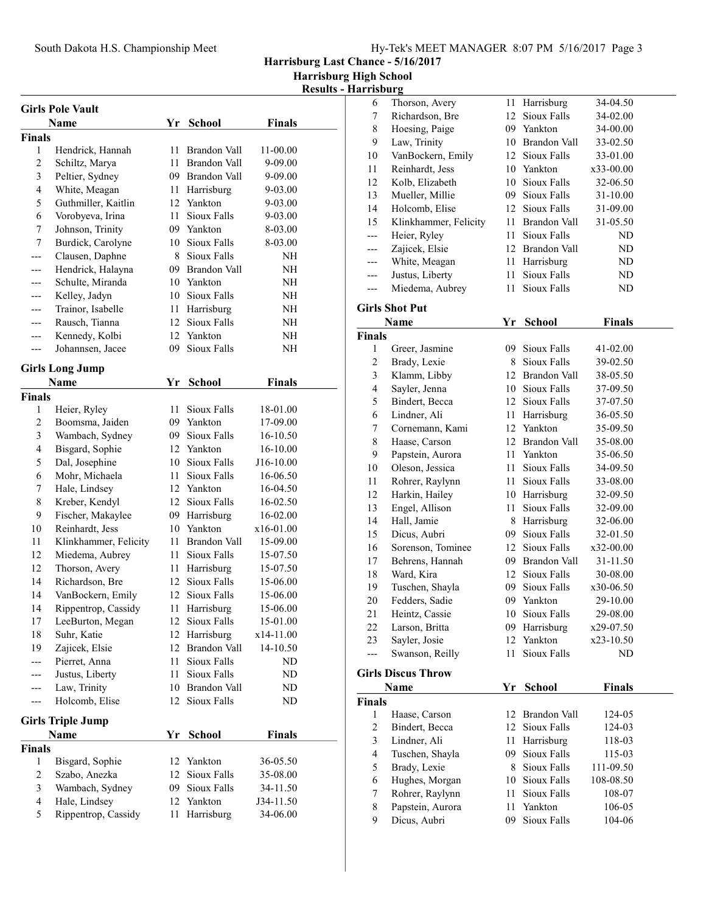Harrisburg Last Chance - 5/16/2017

Harrisburg High School

Results - Harrisburg

|                | <b>Girls Pole Vault</b>  |      |                 |               |  |
|----------------|--------------------------|------|-----------------|---------------|--|
|                | Name                     | Yr   | <b>School</b>   | <b>Finals</b> |  |
| Finals         |                          |      |                 |               |  |
| 1              | Hendrick, Hannah         | 11   | Brandon Vall    | 11-00.00      |  |
| 2              | Schiltz, Marya           | 11   | Brandon Vall    | 9-09.00       |  |
| 3              | Peltier, Sydney          |      | 09 Brandon Vall | 9-09.00       |  |
| $\overline{4}$ | White, Meagan            |      | 11 Harrisburg   | 9-03.00       |  |
| 5              | Guthmiller, Kaitlin      |      | 12 Yankton      | 9-03.00       |  |
| 6              | Vorobyeva, Irina         | 11   | Sioux Falls     | 9-03.00       |  |
| 7              | Johnson, Trinity         |      | 09 Yankton      | 8-03.00       |  |
| 7              | Burdick, Carolyne        |      | 10 Sioux Falls  | 8-03.00       |  |
|                | Clausen, Daphne          |      | 8 Sioux Falls   | NH            |  |
| ---            | Hendrick, Halayna        |      | 09 Brandon Vall | NΗ            |  |
|                | Schulte, Miranda         |      | 10 Yankton      | NH            |  |
|                | Kelley, Jadyn            |      | 10 Sioux Falls  | NΗ            |  |
| ---            | Trainor, Isabelle        | 11   | Harrisburg      | NΗ            |  |
| ---            | Rausch, Tianna           |      | 12 Sioux Falls  | NΗ            |  |
| ---            | Kennedy, Kolbi           |      | 12 Yankton      | NΗ            |  |
| ---            | Johannsen, Jacee         | 09.  | Sioux Falls     | NΗ            |  |
|                | <b>Girls Long Jump</b>   |      |                 |               |  |
|                | <b>Name</b>              | Yr   | <b>School</b>   | <b>Finals</b> |  |
| <b>Finals</b>  |                          |      |                 |               |  |
| 1              | Heier, Ryley             | 11 - | Sioux Falls     | 18-01.00      |  |
| $\overline{c}$ | Boomsma, Jaiden          |      | 09 Yankton      | 17-09.00      |  |
| 3              | Wambach, Sydney          |      | 09 Sioux Falls  | 16-10.50      |  |
| 4              | Bisgard, Sophie          |      | 12 Yankton      | 16-10.00      |  |
| 5              | Dal, Josephine           |      | 10 Sioux Falls  | J16-10.00     |  |
| 6              | Mohr, Michaela           | 11 - | Sioux Falls     | 16-06.50      |  |
| 7              | Hale, Lindsey            |      | 12 Yankton      | 16-04.50      |  |
| 8              | Kreber, Kendyl           |      | 12 Sioux Falls  | 16-02.50      |  |
| 9              | Fischer, Makaylee        |      | 09 Harrisburg   | 16-02.00      |  |
| 10             | Reinhardt, Jess          |      | 10 Yankton      | x16-01.00     |  |
| 11             | Klinkhammer, Felicity    |      | 11 Brandon Vall | 15-09.00      |  |
| 12             | Miedema, Aubrey          |      | 11 Sioux Falls  | 15-07.50      |  |
| 12             | Thorson, Avery           |      | 11 Harrisburg   | 15-07.50      |  |
| 14             | Richardson, Bre          |      | 12 Sioux Falls  | 15-06.00      |  |
| 14             | VanBockern, Emily        |      | 12 Sioux Falls  | 15-06.00      |  |
| 14             | Rippentrop, Cassidy      | 11   | Harrisburg      | 15-06.00      |  |
| 17             | LeeBurton, Megan         | 12   | Sioux Falls     | 15-01.00      |  |
| 18             | Suhr, Katie              | 12   | Harrisburg      | x14-11.00     |  |
| 19             | Zajicek, Elsie           | 12   | Brandon Vall    | 14-10.50      |  |
| ---            | Pierret, Anna            | 11   | Sioux Falls     | ND            |  |
|                | Justus, Liberty          | 11   | Sioux Falls     | ND            |  |
| ---            | Law, Trinity             |      | 10 Brandon Vall | ND            |  |
| ---            | Holcomb, Elise           | 12   | Sioux Falls     | ND            |  |
|                | <b>Girls Triple Jump</b> |      |                 |               |  |
|                | Name                     | Yr   | <b>School</b>   | <b>Finals</b> |  |
| Finals         |                          |      |                 |               |  |
| 1              | Bisgard, Sophie          | 12   | Yankton         | 36-05.50      |  |
| $\sqrt{2}$     | Szabo, Anezka            |      | 12 Sioux Falls  | 35-08.00      |  |
| $\mathfrak{Z}$ | Wambach, Sydney          |      | 09 Sioux Falls  | 34-11.50      |  |
| 4              | Hale, Lindsey            | 12   | Yankton         | J34-11.50     |  |
| 5              | Rippentrop, Cassidy      | 11   | Harrisburg      | 34-06.00      |  |

| 6                       | Thorson, Avery                    | 11 | Harrisburg                   | 34-04.50      |  |
|-------------------------|-----------------------------------|----|------------------------------|---------------|--|
| 7                       | Richardson, Bre                   | 12 | Sioux Falls                  | 34-02.00      |  |
| $\,$ $\,$               | Hoesing, Paige                    |    | 09 Yankton                   | 34-00.00      |  |
| 9                       | Law, Trinity                      | 10 | Brandon Vall                 | 33-02.50      |  |
| 10                      | VanBockern, Emily                 |    | 12 Sioux Falls               | 33-01.00      |  |
| 11                      | Reinhardt, Jess                   |    | 10 Yankton                   | x33-00.00     |  |
| 12                      | Kolb, Elizabeth                   | 10 | Sioux Falls                  | 32-06.50      |  |
| 13                      | Mueller, Millie                   | 09 | Sioux Falls                  | 31-10.00      |  |
| 14                      | Holcomb, Elise                    | 12 | Sioux Falls                  | 31-09.00      |  |
| 15                      | Klinkhammer, Felicity             | 11 | Brandon Vall                 | 31-05.50      |  |
| ---                     | Heier, Ryley                      | 11 | Sioux Falls                  | ND            |  |
| ---                     | Zajicek, Elsie                    | 12 | Brandon Vall                 | ND            |  |
| ---                     | White, Meagan                     | 11 | Harrisburg                   | ND            |  |
| $---$                   | Justus, Liberty                   | 11 | Sioux Falls                  | ND            |  |
| $---$                   | Miedema, Aubrey                   | 11 | Sioux Falls                  | ND            |  |
|                         |                                   |    |                              |               |  |
|                         | Girls Shot Put<br><b>Name</b>     |    | <b>School</b>                |               |  |
| <b>Finals</b>           |                                   | Yr |                              | <b>Finals</b> |  |
| 1                       | Greer, Jasmine                    | 09 | Sioux Falls                  | 41-02.00      |  |
| $\overline{c}$          | Brady, Lexie                      | 8  | Sioux Falls                  | 39-02.50      |  |
| 3                       | Klamm, Libby                      | 12 | Brandon Vall                 | 38-05.50      |  |
| 4                       | Sayler, Jenna                     |    | 10 Sioux Falls               | 37-09.50      |  |
| 5                       | Bindert, Becca                    | 12 | Sioux Falls                  | 37-07.50      |  |
| 6                       | Lindner, Ali                      | 11 | Harrisburg                   | 36-05.50      |  |
| 7                       | Cornemann, Kami                   | 12 | Yankton                      | 35-09.50      |  |
| $\,$ $\,$               | Haase, Carson                     | 12 | Brandon Vall                 | 35-08.00      |  |
| 9                       | Papstein, Aurora                  | 11 | Yankton                      | 35-06.50      |  |
|                         | Oleson, Jessica                   | 11 | Sioux Falls                  |               |  |
| 10                      |                                   |    |                              | 34-09.50      |  |
| 11                      | Rohrer, Raylynn<br>Harkin, Hailey | 11 | Sioux Falls                  | 33-08.00      |  |
| 12                      |                                   | 11 | 10 Harrisburg<br>Sioux Falls | 32-09.50      |  |
| 13<br>14                | Engel, Allison                    |    |                              | 32-09.00      |  |
|                         | Hall, Jamie                       | 8  | Harrisburg                   | 32-06.00      |  |
| 15                      | Dicus, Aubri                      | 09 | Sioux Falls                  | 32-01.50      |  |
| 16                      | Sorenson, Tominee                 | 12 | Sioux Falls                  | x32-00.00     |  |
| 17                      | Behrens, Hannah                   | 09 | Brandon Vall                 | 31-11.50      |  |
| 18                      | Ward, Kira                        | 12 | Sioux Falls                  | 30-08.00      |  |
| 19                      | Tuschen, Shayla                   | 09 | Sioux Falls                  | x30-06.50     |  |
| 20                      | Fedders, Sadie                    |    | 09 Yankton                   | 29-10.00      |  |
| 21                      | Heintz, Cassie                    |    | 10 Sioux Falls               | 29-08.00      |  |
| 22                      | Larson, Britta                    | 09 | Harrisburg                   | x29-07.50     |  |
| 23                      | Sayler, Josie                     | 12 | Yankton                      | x23-10.50     |  |
| ---                     | Swanson, Reilly                   | 11 | Sioux Falls                  | ND            |  |
|                         | <b>Girls Discus Throw</b>         |    |                              |               |  |
|                         | Name                              | Yr | <b>School</b>                | <b>Finals</b> |  |
| Finals                  |                                   |    |                              |               |  |
| 1                       | Haase, Carson                     | 12 | <b>Brandon Vall</b>          | 124-05        |  |
| 2                       | Bindert, Becca                    | 12 | <b>Sioux Falls</b>           | 124-03        |  |
| 3                       | Lindner, Ali                      | 11 | Harrisburg                   | 118-03        |  |
| $\overline{\mathbf{4}}$ | Tuschen, Shayla                   | 09 | <b>Sioux Falls</b>           | 115-03        |  |
| 5                       | Brady, Lexie                      | 8  | Sioux Falls                  | 111-09.50     |  |
| 6                       | Hughes, Morgan                    | 10 | Sioux Falls                  | 108-08.50     |  |
| $\boldsymbol{7}$        | Rohrer, Raylynn                   | 11 | Sioux Falls                  | 108-07        |  |
| $\,$ $\,$               | Papstein, Aurora                  | 11 | Yankton                      | 106-05        |  |
| 9                       | Dicus, Aubri                      | 09 | Sioux Falls                  | 104-06        |  |
|                         |                                   |    |                              |               |  |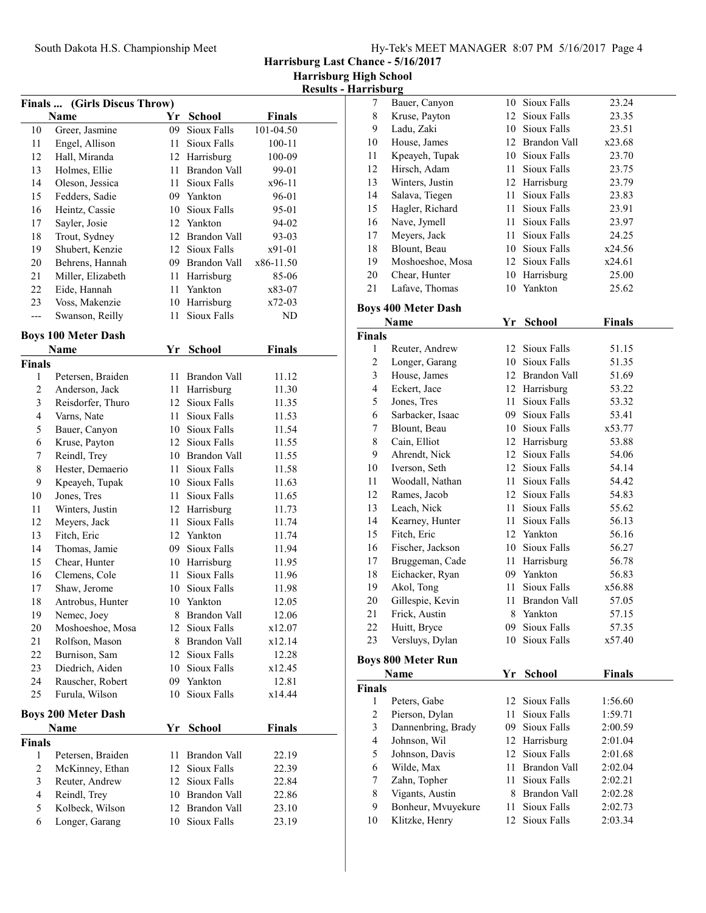Harrisburg Last Chance - 5/16/2017

Harrisburg High School Results - Harrisburg

|               | Finals  (Girls Discus Throw)       |    |                 |               |  |
|---------------|------------------------------------|----|-----------------|---------------|--|
|               | Name                               | Yr | <b>School</b>   | <b>Finals</b> |  |
| 10            | Greer, Jasmine                     |    | 09 Sioux Falls  | 101-04.50     |  |
| 11            | Engel, Allison                     |    | 11 Sioux Falls  | 100-11        |  |
| 12            | Hall, Miranda                      |    | 12 Harrisburg   | 100-09        |  |
| 13            | Holmes, Ellie                      |    | 11 Brandon Vall | 99-01         |  |
| 14            | Oleson, Jessica                    |    | 11 Sioux Falls  | x96-11        |  |
| 15            | Fedders, Sadie                     |    | 09 Yankton      | 96-01         |  |
| 16            | Heintz, Cassie                     |    | 10 Sioux Falls  | 95-01         |  |
| 17            | Sayler, Josie                      |    | 12 Yankton      | 94-02         |  |
| 18            | Trout, Sydney                      |    | 12 Brandon Vall | 93-03         |  |
| 19            | Shubert, Kenzie                    |    | 12 Sioux Falls  | x91-01        |  |
| 20            | Behrens, Hannah                    |    | 09 Brandon Vall | x86-11.50     |  |
| 21            | Miller, Elizabeth                  |    | 11 Harrisburg   | 85-06         |  |
| 22            | Eide, Hannah                       |    | 11 Yankton      | x83-07        |  |
| 23            | Voss, Makenzie                     |    | 10 Harrisburg   | x72-03        |  |
| $---$         | Swanson, Reilly                    | 11 | Sioux Falls     | ND            |  |
|               | <b>Boys 100 Meter Dash</b>         |    |                 |               |  |
|               | Name                               | Yr | <b>School</b>   | <b>Finals</b> |  |
| <b>Finals</b> |                                    |    |                 |               |  |
| 1             | Petersen, Braiden                  |    | 11 Brandon Vall | 11.12         |  |
| 2             | Anderson, Jack                     |    | 11 Harrisburg   | 11.30         |  |
| 3             | Reisdorfer, Thuro                  |    | 12 Sioux Falls  | 11.35         |  |
| 4             | Varns, Nate                        |    | 11 Sioux Falls  | 11.53         |  |
| 5             | Bauer, Canyon                      |    | 10 Sioux Falls  | 11.54         |  |
| 6             | Kruse, Payton                      |    | 12 Sioux Falls  | 11.55         |  |
| 7             | Reindl, Trey                       |    | 10 Brandon Vall | 11.55         |  |
| 8             | Hester, Demaerio                   |    | 11 Sioux Falls  | 11.58         |  |
| 9             | Kpeayeh, Tupak                     |    | 10 Sioux Falls  | 11.63         |  |
| 10            | Jones, Tres                        |    | 11 Sioux Falls  | 11.65         |  |
| 11            | Winters, Justin                    |    | 12 Harrisburg   | 11.73         |  |
| 12            | Meyers, Jack                       |    | 11 Sioux Falls  | 11.74         |  |
| 13            | Fitch, Eric                        |    | 12 Yankton      | 11.74         |  |
| 14            | Thomas, Jamie                      |    | 09 Sioux Falls  | 11.94         |  |
| 15            | Chear, Hunter                      |    | 10 Harrisburg   | 11.95         |  |
| 16            | Clemens, Cole                      |    | 11 Sioux Falls  | 11.96         |  |
| 17            | Shaw, Jerome                       |    | 10 Sioux Falls  | 11.98         |  |
| 18            | Antrobus, Hunter                   |    | 10 Yankton      | 12.05         |  |
| 19            | Nemec, Joey                        | 8  | Brandon Vall    | 12.06         |  |
| 20            | Moshoeshoe, Mosa                   | 12 | Sioux Falls     | x12.07        |  |
| 21            | Rolfson, Mason                     |    | 8 Brandon Vall  | x12.14        |  |
| 22            | Burnison, Sam                      |    | 12 Sioux Falls  | 12.28         |  |
| 23            | Diedrich, Aiden                    |    | 10 Sioux Falls  | x12.45        |  |
| 24            | Rauscher, Robert                   |    | 09 Yankton      | 12.81         |  |
| 25            | Furula, Wilson                     | 10 | Sioux Falls     | x14.44        |  |
|               | <b>Boys 200 Meter Dash</b><br>Name | Yr | <b>School</b>   | <b>Finals</b> |  |
| <b>Finals</b> |                                    |    |                 |               |  |
| 1             | Petersen, Braiden                  | 11 | Brandon Vall    | 22.19         |  |
| 2             | McKinney, Ethan                    |    | 12 Sioux Falls  | 22.39         |  |
| 3             | Reuter, Andrew                     | 12 | Sioux Falls     | 22.84         |  |
| 4             | Reindl, Trey                       |    | 10 Brandon Vall | 22.86         |  |
| 5             | Kolbeck, Wilson                    |    | 12 Brandon Vall | 23.10         |  |
| 6             | Longer, Garang                     | 10 | Sioux Falls     | 23.19         |  |

| 1151) 411 2 |                  |     |                |        |  |
|-------------|------------------|-----|----------------|--------|--|
| 7           | Bauer, Canyon    | 10  | Sioux Falls    | 23.24  |  |
| 8           | Kruse, Payton    |     | 12 Sioux Falls | 23.35  |  |
| 9           | Ladu, Zaki       | 10  | Sioux Falls    | 23.51  |  |
| 10          | House, James     | 12  | Brandon Vall   | x23.68 |  |
| 11          | Kpeayeh, Tupak   |     | 10 Sioux Falls | 23.70  |  |
| 12          | Hirsch, Adam     | 11  | Sioux Falls    | 23.75  |  |
| 13          | Winters, Justin  |     | 12 Harrisburg  | 23.79  |  |
| 14          | Salava, Tiegen   | 11  | Sioux Falls    | 23.83  |  |
| 15          | Hagler, Richard  | 11. | Sioux Falls    | 23.91  |  |
| 16          | Nave, Jymell     |     | 11 Sioux Falls | 23.97  |  |
| 17          | Meyers, Jack     | 11  | Sioux Falls    | 24.25  |  |
| 18          | Blount, Beau     | 10. | Sioux Falls    | x24.56 |  |
| 19          | Moshoeshoe, Mosa |     | 12 Sioux Falls | x24.61 |  |
| 20          | Chear, Hunter    |     | 10 Harrisburg  | 25.00  |  |
| 21          | Lafave, Thomas   | 10  | Yankton        | 25.62  |  |
|             |                  |     |                |        |  |

## Boys 400 Meter Dash

|                | Name               | Yr              | <b>School</b>       | <b>Finals</b> |  |
|----------------|--------------------|-----------------|---------------------|---------------|--|
| Finals         |                    |                 |                     |               |  |
| 1              | Reuter, Andrew     |                 | 12 Sioux Falls      | 51.15         |  |
| $\overline{c}$ | Longer, Garang     | 10 <sup>1</sup> | Sioux Falls         | 51.35         |  |
| 3              | House, James       |                 | 12 Brandon Vall     | 51.69         |  |
| $\overline{4}$ | Eckert, Jace       | 12              | Harrisburg          | 53.22         |  |
| 5              | Jones, Tres        | 11              | Sioux Falls         | 53.32         |  |
| 6              | Sarbacker, Isaac   | 09              | Sioux Falls         | 53.41         |  |
| 7              | Blount, Beau       |                 | 10 Sioux Falls      | x53.77        |  |
| 8              | Cain, Elliot       |                 | 12 Harrisburg       | 53.88         |  |
| 9              | Ahrendt, Nick      | 12              | Sioux Falls         | 54.06         |  |
| 10             | Iverson, Seth      | 12              | Sioux Falls         | 54.14         |  |
| 11             | Woodall, Nathan    | 11              | Sioux Falls         | 54.42         |  |
| 12             | Rames, Jacob       |                 | 12 Sioux Falls      | 54.83         |  |
| 13             | Leach, Nick        | 11              | Sioux Falls         | 55.62         |  |
| 14             | Kearney, Hunter    | 11              | Sioux Falls         | 56.13         |  |
| 15             | Fitch, Eric        |                 | 12 Yankton          | 56.16         |  |
| 16             | Fischer, Jackson   |                 | 10 Sioux Falls      | 56.27         |  |
| 17             | Bruggeman, Cade    | 11              | Harrisburg          | 56.78         |  |
| 18             | Eichacker, Ryan    |                 | 09 Yankton          | 56.83         |  |
| 19             | Akol, Tong         | 11              | Sioux Falls         | x56.88        |  |
| 20             | Gillespie, Kevin   | 11              | <b>Brandon Vall</b> | 57.05         |  |
| 21             | Frick, Austin      | 8               | Yankton             | 57.15         |  |
| 22             | Huitt, Bryce       | 09              | Sioux Falls         | 57.35         |  |
| 23             | Versluys, Dylan    |                 | 10 Sioux Falls      | x57.40        |  |
|                | Boys 800 Meter Run |                 |                     |               |  |
|                | <b>Name</b>        | Yr              | <b>School</b>       | <b>Finals</b> |  |
| Finals         |                    |                 |                     |               |  |
| 1              | Peters, Gabe       | 12              | Sioux Falls         | 1:56.60       |  |
| $\gamma$       | Pierson Dylan      |                 | 11 Sioux Falle      | 1.5971        |  |

|    | I GWIS, GAUG       |     | т∠ рнятаны      | 1.JU.UU |
|----|--------------------|-----|-----------------|---------|
| 2  | Pierson, Dylan     | 11. | Sioux Falls     | 1:59.71 |
| 3  | Dannenbring, Brady |     | 09 Sioux Falls  | 2:00.59 |
| 4  | Johnson, Wil       |     | 12 Harrisburg   | 2:01.04 |
| 5  | Johnson, Davis     |     | 12 Sioux Falls  | 2:01.68 |
| 6  | Wilde, Max         |     | 11 Brandon Vall | 2:02.04 |
| 7  | Zahn, Topher       |     | 11 Sioux Falls  | 2:02.21 |
| 8  | Vigants, Austin    |     | 8 Brandon Vall  | 2:02.28 |
| 9  | Bonheur, Mvuyekure |     | 11 Sioux Falls  | 2:02.73 |
| 10 | Klitzke, Henry     |     | 12 Sioux Falls  | 2:03.34 |
|    |                    |     |                 |         |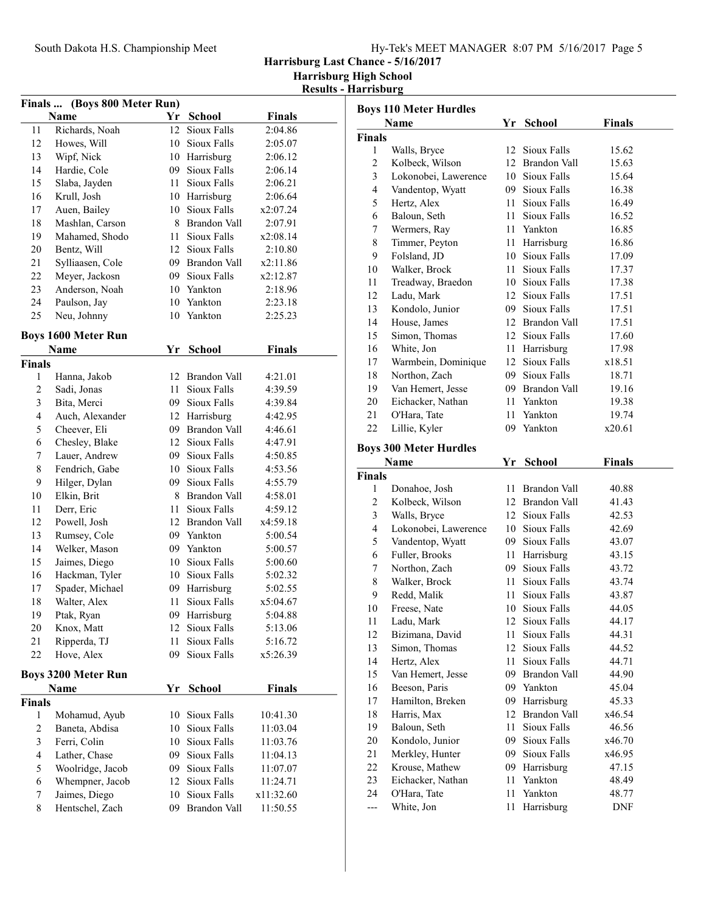|  |  |  | Hy-Tek's MEET MANAGER 8:07 PM 5/16/2017 Page 5 |  |  |  |
|--|--|--|------------------------------------------------|--|--|--|
|--|--|--|------------------------------------------------|--|--|--|

Harrisburg Last Chance - 5/16/2017

Harrisburg High School

Results - Harrisburg

| (Boys 800 Meter Run)<br><b>Finals</b> |                            |      |                 |               |  |  |  |
|---------------------------------------|----------------------------|------|-----------------|---------------|--|--|--|
|                                       | Name                       |      | Yr School       | <b>Finals</b> |  |  |  |
| 11                                    | Richards, Noah             |      | 12 Sioux Falls  | 2:04.86       |  |  |  |
| 12                                    | Howes, Will                |      | 10 Sioux Falls  | 2:05.07       |  |  |  |
| 13                                    | Wipf, Nick                 |      | 10 Harrisburg   | 2:06.12       |  |  |  |
| 14                                    | Hardie, Cole               |      | 09 Sioux Falls  | 2:06.14       |  |  |  |
| 15                                    | Slaba, Jayden              |      | 11 Sioux Falls  | 2:06.21       |  |  |  |
| 16                                    | Krull, Josh                |      | 10 Harrisburg   | 2:06.64       |  |  |  |
| 17                                    | Auen, Bailey               |      | 10 Sioux Falls  | x2:07.24      |  |  |  |
| 18                                    | Mashlan, Carson            |      | 8 Brandon Vall  | 2:07.91       |  |  |  |
| 19                                    | Mahamed, Shodo             | 11 - | Sioux Falls     | x2:08.14      |  |  |  |
| 20                                    | Bentz, Will                | 12   | Sioux Falls     | 2:10.80       |  |  |  |
| 21                                    | Sylliaasen, Cole           |      | 09 Brandon Vall | x2:11.86      |  |  |  |
| 22                                    | Meyer, Jackosn             |      | 09 Sioux Falls  | x2:12.87      |  |  |  |
| 23                                    | Anderson, Noah             |      | 10 Yankton      | 2:18.96       |  |  |  |
| 24                                    | Paulson, Jay               |      | 10 Yankton      | 2:23.18       |  |  |  |
| 25                                    | Neu, Johnny                | 10   | Yankton         | 2:25.23       |  |  |  |
|                                       | <b>Boys 1600 Meter Run</b> |      |                 |               |  |  |  |
|                                       | Name                       | Yr   | <b>School</b>   | <b>Finals</b> |  |  |  |
| <b>Finals</b>                         |                            |      |                 |               |  |  |  |
| 1                                     | Hanna, Jakob               | 12   | Brandon Vall    | 4:21.01       |  |  |  |
| 2                                     | Sadi, Jonas                |      | 11 Sioux Falls  | 4:39.59       |  |  |  |
| 3                                     | Bita, Merci                |      | 09 Sioux Falls  | 4:39.84       |  |  |  |
| 4                                     | Auch, Alexander            |      | 12 Harrisburg   | 4:42.95       |  |  |  |
| 5                                     | Cheever, Eli               |      | 09 Brandon Vall | 4:46.61       |  |  |  |
| 6                                     | Chesley, Blake             |      | 12 Sioux Falls  | 4:47.91       |  |  |  |
| 7                                     | Lauer, Andrew              |      | 09 Sioux Falls  | 4:50.85       |  |  |  |
| 8                                     | Fendrich, Gabe             |      | 10 Sioux Falls  | 4:53.56       |  |  |  |
| 9                                     | Hilger, Dylan              |      | 09 Sioux Falls  | 4:55.79       |  |  |  |
| 10                                    | Elkin, Brit                | 8.   | Brandon Vall    | 4:58.01       |  |  |  |
| 11                                    | Derr, Eric                 | 11 - | Sioux Falls     | 4:59.12       |  |  |  |
| 12                                    | Powell, Josh               |      | 12 Brandon Vall | x4:59.18      |  |  |  |
| 13                                    | Rumsey, Cole               |      | 09 Yankton      | 5:00.54       |  |  |  |
| 14                                    | Welker, Mason              |      | 09 Yankton      | 5:00.57       |  |  |  |
| 15                                    | Jaimes, Diego              |      | 10 Sioux Falls  | 5:00.60       |  |  |  |
| 16                                    | Hackman, Tyler             |      | 10 Sioux Falls  | 5:02.32       |  |  |  |
| 17                                    | Spader, Michael            |      | 09 Harrisburg   | 5:02.55       |  |  |  |
| 18                                    | Walter, Alex               | 11   | Sioux Falls     | x5:04.67      |  |  |  |
| 19                                    | Ptak, Ryan                 | 09   | Harrisburg      | 5:04.88       |  |  |  |
| 20                                    | Knox, Matt                 | 12   | Sioux Falls     | 5:13.06       |  |  |  |
| 21                                    | Ripperda, TJ               | 11   | Sioux Falls     | 5:16.72       |  |  |  |
| 22                                    | Hove, Alex                 | 09   | Sioux Falls     | x5:26.39      |  |  |  |
|                                       | <b>Boys 3200 Meter Run</b> |      |                 |               |  |  |  |
|                                       | <b>Name</b>                | Yr   | <b>School</b>   | <b>Finals</b> |  |  |  |
| <b>Finals</b>                         |                            |      |                 |               |  |  |  |
| 1                                     | Mohamud, Ayub              | 10   | Sioux Falls     | 10:41.30      |  |  |  |
| $\overline{2}$                        | Baneta, Abdisa             | 10   | Sioux Falls     | 11:03.04      |  |  |  |
| 3                                     | Ferri, Colin               | 10   | Sioux Falls     | 11:03.76      |  |  |  |
| 4                                     | Lather, Chase              | 09   | Sioux Falls     | 11:04.13      |  |  |  |
| 5                                     | Woolridge, Jacob           | 09   | Sioux Falls     | 11:07.07      |  |  |  |
| 6                                     | Whempner, Jacob            | 12   | Sioux Falls     | 11:24.71      |  |  |  |
| 7                                     | Jaimes, Diego              | 10   | Sioux Falls     | x11:32.60     |  |  |  |
| 8                                     | Hentschel, Zach            | 09   | Brandon Vall    | 11:50.55      |  |  |  |

|                | <b>Boys 110 Meter Hurdles</b> |      |                 |               |  |
|----------------|-------------------------------|------|-----------------|---------------|--|
|                | Name                          | Yr   | <b>School</b>   | <b>Finals</b> |  |
| Finals         |                               |      |                 |               |  |
| 1              | Walls, Bryce                  | 12   | Sioux Falls     | 15.62         |  |
| $\overline{c}$ | Kolbeck, Wilson               |      | 12 Brandon Vall | 15.63         |  |
| $\mathfrak{Z}$ | Lokonobei, Lawerence          |      | 10 Sioux Falls  | 15.64         |  |
| $\overline{4}$ | Vandentop, Wyatt              | 09   | Sioux Falls     | 16.38         |  |
| 5              | Hertz, Alex                   | 11 - | Sioux Falls     | 16.49         |  |
| 6              | Baloun, Seth                  | 11 - | Sioux Falls     | 16.52         |  |
| 7              | Wermers, Ray                  |      | 11 Yankton      | 16.85         |  |
| 8              | Timmer, Peyton                |      | 11 Harrisburg   | 16.86         |  |
| 9              | Folsland, JD                  |      | 10 Sioux Falls  | 17.09         |  |
| 10             | Walker, Brock                 | 11 - | Sioux Falls     | 17.37         |  |
| 11             | Treadway, Braedon             |      | 10 Sioux Falls  | 17.38         |  |
| 12             | Ladu, Mark                    |      | 12 Sioux Falls  | 17.51         |  |
| 13             | Kondolo, Junior               |      | 09 Sioux Falls  | 17.51         |  |
| 14             | House, James                  |      | 12 Brandon Vall | 17.51         |  |
| 15             | Simon, Thomas                 |      | 12 Sioux Falls  | 17.60         |  |
| 16             | White, Jon                    |      | 11 Harrisburg   | 17.98         |  |
| 17             | Warmbein, Dominique           |      | 12 Sioux Falls  | x18.51        |  |
| 18             | Northon, Zach                 |      | 09 Sioux Falls  | 18.71         |  |
| 19             | Van Hemert, Jesse             |      | 09 Brandon Vall | 19.16         |  |
| 20             | Eichacker, Nathan             |      | 11 Yankton      | 19.38         |  |
| 21             | O'Hara, Tate                  | 11   | Yankton         | 19.74         |  |
| 22             | Lillie, Kyler                 | 09   | Yankton         | x20.61        |  |
|                | <b>Boys 300 Meter Hurdles</b> |      |                 |               |  |
|                | Name                          | Yr   | School          | <b>Finals</b> |  |
| Finals         |                               |      |                 |               |  |
| 1              | Donahoe, Josh                 | 11   | Brandon Vall    | 40.88         |  |
| $\overline{2}$ | Kolbeck, Wilson               |      | 12 Brandon Vall | 41.43         |  |
| $\mathfrak{Z}$ | Walls, Bryce                  |      | 12 Sioux Falls  | 42.53         |  |
| 4              | Lokonobei, Lawerence          |      | 10 Sioux Falls  | 42.69         |  |
| 5              | Vandentop, Wyatt              |      | 09 Sioux Falls  | 43.07         |  |
| 6              | Fuller, Brooks                |      | 11 Harrisburg   | 43.15         |  |
| 7              | Northon, Zach                 |      | 09 Sioux Falls  | 43.72         |  |
| 8              | Walker, Brock                 | 11 - | Sioux Falls     | 43.74         |  |
| 9              | Redd, Malik                   | 11 - | Sioux Falls     | 43.87         |  |
| 10             | Freese, Nate                  | 10   | Sioux Falls     | 44.05         |  |
| 11             | Ladu, Mark                    |      | 12 Sioux Falls  | 44.17         |  |
| 12             | Bizimana, David               | 11 - | Sioux Falls     | 44.31         |  |
| 13             | Simon, Thomas                 | 12   | Sioux Falls     | 44.52         |  |
| 14             | Hertz, Alex                   | 11   | Sioux Falls     | 44.71         |  |
| 15             | Van Hemert, Jesse             | 09   | Brandon Vall    | 44.90         |  |
| 16             | Beeson, Paris                 | 09   | Yankton         | 45.04         |  |
| 17             | Hamilton, Breken              |      | 09 Harrisburg   | 45.33         |  |
| 18             | Harris, Max                   |      | 12 Brandon Vall | x46.54        |  |
| 19             | Baloun, Seth                  | 11   | Sioux Falls     | 46.56         |  |
| 20             | Kondolo, Junior               | 09   | Sioux Falls     | x46.70        |  |
| 21             | Merkley, Hunter               | 09   | Sioux Falls     | x46.95        |  |
| 22             | Krouse, Mathew                |      | 09 Harrisburg   | 47.15         |  |
| 23             | Eichacker, Nathan             | 11   | Yankton         | 48.49         |  |
| 24             |                               |      |                 |               |  |
|                |                               | 11   | Yankton         |               |  |
| ---            | O'Hara, Tate<br>White, Jon    | 11   | Harrisburg      | 48.77<br>DNF  |  |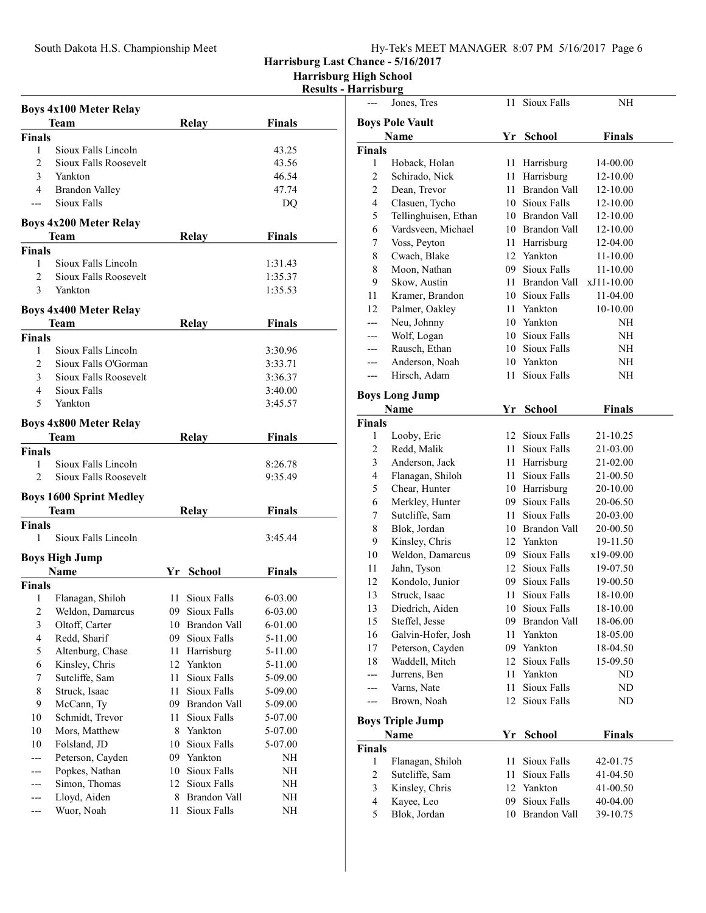## South Dakota H.S. Championship Meet Hy-Tek's MEET MANAGER 8:07 PM 5/16/2017 Page 6

Harrisburg Last Chance - 5/16/2017

Harrisburg High School

## Results - Harrisburg

| Relay<br><b>Finals</b><br>Sioux Falls Lincoln<br>1<br>43.25<br>2<br>Sioux Falls Roosevelt<br>43.56<br>3<br>46.54<br>Yankton<br>4<br>47.74<br><b>Brandon Valley</b><br>Sioux Falls<br>DQ<br>$---$<br><b>Boys 4x200 Meter Relay</b><br><b>Finals</b><br><b>Relay</b><br>Team<br><b>Finals</b><br>Sioux Falls Lincoln<br>$\mathbf{1}$<br>1:31.43<br>$\overline{2}$<br>Sioux Falls Roosevelt<br>1:35.37<br>$\mathfrak{Z}$<br>Yankton<br>1:35.53<br><b>Boys 4x400 Meter Relay</b><br><b>Team</b><br><b>Finals</b><br><b>Relay</b><br><b>Finals</b><br>Sioux Falls Lincoln<br>1<br>3:30.96<br>2<br>Sioux Falls O'Gorman<br>3:33.71<br>3<br>Sioux Falls Roosevelt<br>3:36.37<br>Sioux Falls<br>4<br>3:40.00<br>5<br>Yankton<br>3:45.57<br><b>Boys 4x800 Meter Relay</b><br>Team<br><b>Relay</b><br><b>Finals</b><br><b>Finals</b><br>$\mathbf{1}$<br>Sioux Falls Lincoln<br>8:26.78<br>2<br>Sioux Falls Roosevelt<br>9:35.49<br><b>Boys 1600 Sprint Medley</b><br><b>Finals</b><br><b>Relay</b><br>Team<br><b>Finals</b><br>Sioux Falls Lincoln<br>1<br>3:45.44<br><b>Boys High Jump</b><br>Name<br>Finals<br>Yr School<br><b>Finals</b><br>1<br>11 Sioux Falls<br>Flanagan, Shiloh<br>6-03.00<br>2 Weldon, Damarcus<br>09 Sioux Falls<br>6-03.00<br>3<br>Oltoff, Carter<br>10 Brandon Vall<br>6-01.00<br>4<br>Redd, Sharif<br>09<br>Sioux Falls<br>5-11.00<br>5<br>Altenburg, Chase<br>11<br>Harrisburg<br>5-11.00<br>Kinsley, Chris<br>12 Yankton<br>6<br>5-11.00<br>7<br>Sutcliffe, Sam<br>Sioux Falls<br>11<br>5-09.00<br>8<br>11<br>Sioux Falls<br>Struck, Isaac<br>5-09.00<br>9<br>McCann, Ty<br>09 Brandon Vall<br>5-09.00<br>10<br>Schmidt, Trevor<br>11<br>Sioux Falls<br>5-07.00<br>Yankton<br>10<br>Mors, Matthew<br>8<br>5-07.00<br>Folsland, JD<br>Sioux Falls<br>10<br>10<br>5-07.00<br>Peterson, Cayden<br>09 Yankton<br>NH<br>Popkes, Nathan<br>Sioux Falls<br>10<br>NΗ<br>Simon, Thomas<br>Sioux Falls<br>12<br>NH<br>Lloyd, Aiden<br>8<br>Brandon Vall<br>NH |     | <b>Boys 4x100 Meter Relay</b> |    |             |               |  |
|-------------------------------------------------------------------------------------------------------------------------------------------------------------------------------------------------------------------------------------------------------------------------------------------------------------------------------------------------------------------------------------------------------------------------------------------------------------------------------------------------------------------------------------------------------------------------------------------------------------------------------------------------------------------------------------------------------------------------------------------------------------------------------------------------------------------------------------------------------------------------------------------------------------------------------------------------------------------------------------------------------------------------------------------------------------------------------------------------------------------------------------------------------------------------------------------------------------------------------------------------------------------------------------------------------------------------------------------------------------------------------------------------------------------------------------------------------------------------------------------------------------------------------------------------------------------------------------------------------------------------------------------------------------------------------------------------------------------------------------------------------------------------------------------------------------------------------------------------------------------------------------------------------------------------------------------------------------------------|-----|-------------------------------|----|-------------|---------------|--|
|                                                                                                                                                                                                                                                                                                                                                                                                                                                                                                                                                                                                                                                                                                                                                                                                                                                                                                                                                                                                                                                                                                                                                                                                                                                                                                                                                                                                                                                                                                                                                                                                                                                                                                                                                                                                                                                                                                                                                                         |     | Team                          |    |             | <b>Finals</b> |  |
|                                                                                                                                                                                                                                                                                                                                                                                                                                                                                                                                                                                                                                                                                                                                                                                                                                                                                                                                                                                                                                                                                                                                                                                                                                                                                                                                                                                                                                                                                                                                                                                                                                                                                                                                                                                                                                                                                                                                                                         |     |                               |    |             |               |  |
|                                                                                                                                                                                                                                                                                                                                                                                                                                                                                                                                                                                                                                                                                                                                                                                                                                                                                                                                                                                                                                                                                                                                                                                                                                                                                                                                                                                                                                                                                                                                                                                                                                                                                                                                                                                                                                                                                                                                                                         |     |                               |    |             |               |  |
|                                                                                                                                                                                                                                                                                                                                                                                                                                                                                                                                                                                                                                                                                                                                                                                                                                                                                                                                                                                                                                                                                                                                                                                                                                                                                                                                                                                                                                                                                                                                                                                                                                                                                                                                                                                                                                                                                                                                                                         |     |                               |    |             |               |  |
|                                                                                                                                                                                                                                                                                                                                                                                                                                                                                                                                                                                                                                                                                                                                                                                                                                                                                                                                                                                                                                                                                                                                                                                                                                                                                                                                                                                                                                                                                                                                                                                                                                                                                                                                                                                                                                                                                                                                                                         |     |                               |    |             |               |  |
|                                                                                                                                                                                                                                                                                                                                                                                                                                                                                                                                                                                                                                                                                                                                                                                                                                                                                                                                                                                                                                                                                                                                                                                                                                                                                                                                                                                                                                                                                                                                                                                                                                                                                                                                                                                                                                                                                                                                                                         |     |                               |    |             |               |  |
|                                                                                                                                                                                                                                                                                                                                                                                                                                                                                                                                                                                                                                                                                                                                                                                                                                                                                                                                                                                                                                                                                                                                                                                                                                                                                                                                                                                                                                                                                                                                                                                                                                                                                                                                                                                                                                                                                                                                                                         |     |                               |    |             |               |  |
|                                                                                                                                                                                                                                                                                                                                                                                                                                                                                                                                                                                                                                                                                                                                                                                                                                                                                                                                                                                                                                                                                                                                                                                                                                                                                                                                                                                                                                                                                                                                                                                                                                                                                                                                                                                                                                                                                                                                                                         |     |                               |    |             |               |  |
|                                                                                                                                                                                                                                                                                                                                                                                                                                                                                                                                                                                                                                                                                                                                                                                                                                                                                                                                                                                                                                                                                                                                                                                                                                                                                                                                                                                                                                                                                                                                                                                                                                                                                                                                                                                                                                                                                                                                                                         |     |                               |    |             |               |  |
|                                                                                                                                                                                                                                                                                                                                                                                                                                                                                                                                                                                                                                                                                                                                                                                                                                                                                                                                                                                                                                                                                                                                                                                                                                                                                                                                                                                                                                                                                                                                                                                                                                                                                                                                                                                                                                                                                                                                                                         |     |                               |    |             |               |  |
|                                                                                                                                                                                                                                                                                                                                                                                                                                                                                                                                                                                                                                                                                                                                                                                                                                                                                                                                                                                                                                                                                                                                                                                                                                                                                                                                                                                                                                                                                                                                                                                                                                                                                                                                                                                                                                                                                                                                                                         |     |                               |    |             |               |  |
|                                                                                                                                                                                                                                                                                                                                                                                                                                                                                                                                                                                                                                                                                                                                                                                                                                                                                                                                                                                                                                                                                                                                                                                                                                                                                                                                                                                                                                                                                                                                                                                                                                                                                                                                                                                                                                                                                                                                                                         |     |                               |    |             |               |  |
|                                                                                                                                                                                                                                                                                                                                                                                                                                                                                                                                                                                                                                                                                                                                                                                                                                                                                                                                                                                                                                                                                                                                                                                                                                                                                                                                                                                                                                                                                                                                                                                                                                                                                                                                                                                                                                                                                                                                                                         |     |                               |    |             |               |  |
|                                                                                                                                                                                                                                                                                                                                                                                                                                                                                                                                                                                                                                                                                                                                                                                                                                                                                                                                                                                                                                                                                                                                                                                                                                                                                                                                                                                                                                                                                                                                                                                                                                                                                                                                                                                                                                                                                                                                                                         |     |                               |    |             |               |  |
|                                                                                                                                                                                                                                                                                                                                                                                                                                                                                                                                                                                                                                                                                                                                                                                                                                                                                                                                                                                                                                                                                                                                                                                                                                                                                                                                                                                                                                                                                                                                                                                                                                                                                                                                                                                                                                                                                                                                                                         |     |                               |    |             |               |  |
|                                                                                                                                                                                                                                                                                                                                                                                                                                                                                                                                                                                                                                                                                                                                                                                                                                                                                                                                                                                                                                                                                                                                                                                                                                                                                                                                                                                                                                                                                                                                                                                                                                                                                                                                                                                                                                                                                                                                                                         |     |                               |    |             |               |  |
|                                                                                                                                                                                                                                                                                                                                                                                                                                                                                                                                                                                                                                                                                                                                                                                                                                                                                                                                                                                                                                                                                                                                                                                                                                                                                                                                                                                                                                                                                                                                                                                                                                                                                                                                                                                                                                                                                                                                                                         |     |                               |    |             |               |  |
|                                                                                                                                                                                                                                                                                                                                                                                                                                                                                                                                                                                                                                                                                                                                                                                                                                                                                                                                                                                                                                                                                                                                                                                                                                                                                                                                                                                                                                                                                                                                                                                                                                                                                                                                                                                                                                                                                                                                                                         |     |                               |    |             |               |  |
|                                                                                                                                                                                                                                                                                                                                                                                                                                                                                                                                                                                                                                                                                                                                                                                                                                                                                                                                                                                                                                                                                                                                                                                                                                                                                                                                                                                                                                                                                                                                                                                                                                                                                                                                                                                                                                                                                                                                                                         |     |                               |    |             |               |  |
|                                                                                                                                                                                                                                                                                                                                                                                                                                                                                                                                                                                                                                                                                                                                                                                                                                                                                                                                                                                                                                                                                                                                                                                                                                                                                                                                                                                                                                                                                                                                                                                                                                                                                                                                                                                                                                                                                                                                                                         |     |                               |    |             |               |  |
|                                                                                                                                                                                                                                                                                                                                                                                                                                                                                                                                                                                                                                                                                                                                                                                                                                                                                                                                                                                                                                                                                                                                                                                                                                                                                                                                                                                                                                                                                                                                                                                                                                                                                                                                                                                                                                                                                                                                                                         |     |                               |    |             |               |  |
|                                                                                                                                                                                                                                                                                                                                                                                                                                                                                                                                                                                                                                                                                                                                                                                                                                                                                                                                                                                                                                                                                                                                                                                                                                                                                                                                                                                                                                                                                                                                                                                                                                                                                                                                                                                                                                                                                                                                                                         |     |                               |    |             |               |  |
|                                                                                                                                                                                                                                                                                                                                                                                                                                                                                                                                                                                                                                                                                                                                                                                                                                                                                                                                                                                                                                                                                                                                                                                                                                                                                                                                                                                                                                                                                                                                                                                                                                                                                                                                                                                                                                                                                                                                                                         |     |                               |    |             |               |  |
|                                                                                                                                                                                                                                                                                                                                                                                                                                                                                                                                                                                                                                                                                                                                                                                                                                                                                                                                                                                                                                                                                                                                                                                                                                                                                                                                                                                                                                                                                                                                                                                                                                                                                                                                                                                                                                                                                                                                                                         |     |                               |    |             |               |  |
|                                                                                                                                                                                                                                                                                                                                                                                                                                                                                                                                                                                                                                                                                                                                                                                                                                                                                                                                                                                                                                                                                                                                                                                                                                                                                                                                                                                                                                                                                                                                                                                                                                                                                                                                                                                                                                                                                                                                                                         |     |                               |    |             |               |  |
|                                                                                                                                                                                                                                                                                                                                                                                                                                                                                                                                                                                                                                                                                                                                                                                                                                                                                                                                                                                                                                                                                                                                                                                                                                                                                                                                                                                                                                                                                                                                                                                                                                                                                                                                                                                                                                                                                                                                                                         |     |                               |    |             |               |  |
|                                                                                                                                                                                                                                                                                                                                                                                                                                                                                                                                                                                                                                                                                                                                                                                                                                                                                                                                                                                                                                                                                                                                                                                                                                                                                                                                                                                                                                                                                                                                                                                                                                                                                                                                                                                                                                                                                                                                                                         |     |                               |    |             |               |  |
|                                                                                                                                                                                                                                                                                                                                                                                                                                                                                                                                                                                                                                                                                                                                                                                                                                                                                                                                                                                                                                                                                                                                                                                                                                                                                                                                                                                                                                                                                                                                                                                                                                                                                                                                                                                                                                                                                                                                                                         |     |                               |    |             |               |  |
|                                                                                                                                                                                                                                                                                                                                                                                                                                                                                                                                                                                                                                                                                                                                                                                                                                                                                                                                                                                                                                                                                                                                                                                                                                                                                                                                                                                                                                                                                                                                                                                                                                                                                                                                                                                                                                                                                                                                                                         |     |                               |    |             |               |  |
|                                                                                                                                                                                                                                                                                                                                                                                                                                                                                                                                                                                                                                                                                                                                                                                                                                                                                                                                                                                                                                                                                                                                                                                                                                                                                                                                                                                                                                                                                                                                                                                                                                                                                                                                                                                                                                                                                                                                                                         |     |                               |    |             |               |  |
|                                                                                                                                                                                                                                                                                                                                                                                                                                                                                                                                                                                                                                                                                                                                                                                                                                                                                                                                                                                                                                                                                                                                                                                                                                                                                                                                                                                                                                                                                                                                                                                                                                                                                                                                                                                                                                                                                                                                                                         |     |                               |    |             |               |  |
|                                                                                                                                                                                                                                                                                                                                                                                                                                                                                                                                                                                                                                                                                                                                                                                                                                                                                                                                                                                                                                                                                                                                                                                                                                                                                                                                                                                                                                                                                                                                                                                                                                                                                                                                                                                                                                                                                                                                                                         |     |                               |    |             |               |  |
|                                                                                                                                                                                                                                                                                                                                                                                                                                                                                                                                                                                                                                                                                                                                                                                                                                                                                                                                                                                                                                                                                                                                                                                                                                                                                                                                                                                                                                                                                                                                                                                                                                                                                                                                                                                                                                                                                                                                                                         |     |                               |    |             |               |  |
|                                                                                                                                                                                                                                                                                                                                                                                                                                                                                                                                                                                                                                                                                                                                                                                                                                                                                                                                                                                                                                                                                                                                                                                                                                                                                                                                                                                                                                                                                                                                                                                                                                                                                                                                                                                                                                                                                                                                                                         |     |                               |    |             |               |  |
|                                                                                                                                                                                                                                                                                                                                                                                                                                                                                                                                                                                                                                                                                                                                                                                                                                                                                                                                                                                                                                                                                                                                                                                                                                                                                                                                                                                                                                                                                                                                                                                                                                                                                                                                                                                                                                                                                                                                                                         |     |                               |    |             |               |  |
|                                                                                                                                                                                                                                                                                                                                                                                                                                                                                                                                                                                                                                                                                                                                                                                                                                                                                                                                                                                                                                                                                                                                                                                                                                                                                                                                                                                                                                                                                                                                                                                                                                                                                                                                                                                                                                                                                                                                                                         |     |                               |    |             |               |  |
|                                                                                                                                                                                                                                                                                                                                                                                                                                                                                                                                                                                                                                                                                                                                                                                                                                                                                                                                                                                                                                                                                                                                                                                                                                                                                                                                                                                                                                                                                                                                                                                                                                                                                                                                                                                                                                                                                                                                                                         |     |                               |    |             |               |  |
|                                                                                                                                                                                                                                                                                                                                                                                                                                                                                                                                                                                                                                                                                                                                                                                                                                                                                                                                                                                                                                                                                                                                                                                                                                                                                                                                                                                                                                                                                                                                                                                                                                                                                                                                                                                                                                                                                                                                                                         |     |                               |    |             |               |  |
|                                                                                                                                                                                                                                                                                                                                                                                                                                                                                                                                                                                                                                                                                                                                                                                                                                                                                                                                                                                                                                                                                                                                                                                                                                                                                                                                                                                                                                                                                                                                                                                                                                                                                                                                                                                                                                                                                                                                                                         |     |                               |    |             |               |  |
|                                                                                                                                                                                                                                                                                                                                                                                                                                                                                                                                                                                                                                                                                                                                                                                                                                                                                                                                                                                                                                                                                                                                                                                                                                                                                                                                                                                                                                                                                                                                                                                                                                                                                                                                                                                                                                                                                                                                                                         |     |                               |    |             |               |  |
|                                                                                                                                                                                                                                                                                                                                                                                                                                                                                                                                                                                                                                                                                                                                                                                                                                                                                                                                                                                                                                                                                                                                                                                                                                                                                                                                                                                                                                                                                                                                                                                                                                                                                                                                                                                                                                                                                                                                                                         |     |                               |    |             |               |  |
|                                                                                                                                                                                                                                                                                                                                                                                                                                                                                                                                                                                                                                                                                                                                                                                                                                                                                                                                                                                                                                                                                                                                                                                                                                                                                                                                                                                                                                                                                                                                                                                                                                                                                                                                                                                                                                                                                                                                                                         |     |                               |    |             |               |  |
|                                                                                                                                                                                                                                                                                                                                                                                                                                                                                                                                                                                                                                                                                                                                                                                                                                                                                                                                                                                                                                                                                                                                                                                                                                                                                                                                                                                                                                                                                                                                                                                                                                                                                                                                                                                                                                                                                                                                                                         |     |                               |    |             |               |  |
|                                                                                                                                                                                                                                                                                                                                                                                                                                                                                                                                                                                                                                                                                                                                                                                                                                                                                                                                                                                                                                                                                                                                                                                                                                                                                                                                                                                                                                                                                                                                                                                                                                                                                                                                                                                                                                                                                                                                                                         |     |                               |    |             |               |  |
|                                                                                                                                                                                                                                                                                                                                                                                                                                                                                                                                                                                                                                                                                                                                                                                                                                                                                                                                                                                                                                                                                                                                                                                                                                                                                                                                                                                                                                                                                                                                                                                                                                                                                                                                                                                                                                                                                                                                                                         |     |                               |    |             |               |  |
|                                                                                                                                                                                                                                                                                                                                                                                                                                                                                                                                                                                                                                                                                                                                                                                                                                                                                                                                                                                                                                                                                                                                                                                                                                                                                                                                                                                                                                                                                                                                                                                                                                                                                                                                                                                                                                                                                                                                                                         |     |                               |    |             |               |  |
|                                                                                                                                                                                                                                                                                                                                                                                                                                                                                                                                                                                                                                                                                                                                                                                                                                                                                                                                                                                                                                                                                                                                                                                                                                                                                                                                                                                                                                                                                                                                                                                                                                                                                                                                                                                                                                                                                                                                                                         |     |                               |    |             |               |  |
|                                                                                                                                                                                                                                                                                                                                                                                                                                                                                                                                                                                                                                                                                                                                                                                                                                                                                                                                                                                                                                                                                                                                                                                                                                                                                                                                                                                                                                                                                                                                                                                                                                                                                                                                                                                                                                                                                                                                                                         |     |                               |    |             |               |  |
|                                                                                                                                                                                                                                                                                                                                                                                                                                                                                                                                                                                                                                                                                                                                                                                                                                                                                                                                                                                                                                                                                                                                                                                                                                                                                                                                                                                                                                                                                                                                                                                                                                                                                                                                                                                                                                                                                                                                                                         |     |                               |    |             |               |  |
|                                                                                                                                                                                                                                                                                                                                                                                                                                                                                                                                                                                                                                                                                                                                                                                                                                                                                                                                                                                                                                                                                                                                                                                                                                                                                                                                                                                                                                                                                                                                                                                                                                                                                                                                                                                                                                                                                                                                                                         | --- | Wuor, Noah                    | 11 | Sioux Falls | NH            |  |

|                         | Jones, Tres                        | 11   | Sioux Falls                     | NΗ                   |  |
|-------------------------|------------------------------------|------|---------------------------------|----------------------|--|
|                         | <b>Boys Pole Vault</b>             |      |                                 |                      |  |
|                         | <b>Name</b>                        | Yr   | <b>School</b>                   | Finals               |  |
| <b>Finals</b>           |                                    |      |                                 |                      |  |
| 1                       | Hoback, Holan                      | 11   | Harrisburg                      | 14-00.00             |  |
| 2                       | Schirado, Nick                     |      | 11 Harrisburg                   | 12-10.00             |  |
| $\overline{c}$          | Dean, Trevor                       |      | 11 Brandon Vall                 | 12-10.00             |  |
| 4                       | Clasuen, Tycho                     |      | 10 Sioux Falls                  | 12-10.00             |  |
| 5                       | Tellinghuisen, Ethan               |      | 10 Brandon Vall                 | 12-10.00             |  |
| 6                       | Vardsveen, Michael                 |      | 10 Brandon Vall                 | 12-10.00             |  |
| 7                       | Voss, Peyton                       |      | 11 Harrisburg                   | 12-04.00             |  |
| 8                       | Cwach, Blake                       |      | 12 Yankton                      | 11-10.00             |  |
| 8                       | Moon, Nathan                       |      | 09 Sioux Falls                  | 11-10.00             |  |
| 9                       | Skow, Austin                       |      | 11 Brandon Vall                 | xJ11-10.00           |  |
| 11                      | Kramer, Brandon                    |      | 10 Sioux Falls                  | 11-04.00             |  |
| 12                      | Palmer, Oakley                     |      | 11 Yankton                      | $10 - 10.00$         |  |
| ---                     | Neu, Johnny                        |      | 10 Yankton                      | NH                   |  |
| ---                     | Wolf, Logan                        |      | 10 Sioux Falls                  | NΗ                   |  |
| ---                     | Rausch, Ethan                      |      | 10 Sioux Falls                  | NΗ                   |  |
| ---                     | Anderson, Noah                     |      | 10 Yankton                      | NΗ                   |  |
| ---                     | Hirsch, Adam                       | 11   | <b>Sioux Falls</b>              | NH                   |  |
|                         |                                    |      |                                 |                      |  |
|                         | <b>Boys Long Jump</b>              |      |                                 |                      |  |
|                         | Name                               | Yr   | <b>School</b>                   | <b>Finals</b>        |  |
| Finals                  |                                    |      |                                 |                      |  |
| 1                       | Looby, Eric                        | 12   | Sioux Falls                     | 21-10.25             |  |
| 2                       | Redd, Malik                        | 11   | Sioux Falls                     | 21-03.00             |  |
| 3<br>$\overline{4}$     | Anderson, Jack                     |      | 11 Harrisburg                   | 21-02.00             |  |
|                         | Flanagan, Shiloh                   |      | 11 Sioux Falls                  | 21-00.50             |  |
| 5                       | Chear, Hunter                      |      | 10 Harrisburg<br>09 Sioux Falls | 20-10.00             |  |
| 6<br>7                  | Merkley, Hunter                    | 11 - | Sioux Falls                     | 20-06.50             |  |
|                         | Sutcliffe, Sam<br>Blok, Jordan     |      | 10 Brandon Vall                 | 20-03.00             |  |
| 8<br>9                  |                                    |      | 12 Yankton                      | 20-00.50<br>19-11.50 |  |
| 10                      | Kinsley, Chris<br>Weldon, Damarcus |      | 09 Sioux Falls                  | x19-09.00            |  |
| 11                      | Jahn, Tyson                        | 12   | Sioux Falls                     | 19-07.50             |  |
| 12                      | Kondolo, Junior                    | 09-  | Sioux Falls                     | 19-00.50             |  |
| 13                      | Struck, Isaac                      | 11   | Sioux Falls                     | 18-10.00             |  |
| 13                      | Diedrich, Aiden                    | 10   | Sioux Falls                     | 18-10.00             |  |
| 15                      | Steffel, Jesse                     | 09   | Brandon Vall                    | 18-06.00             |  |
| 16                      | Galvin-Hofer, Josh                 | 11   | Yankton                         | 18-05.00             |  |
| 17                      | Peterson, Cayden                   | 09   | Yankton                         | 18-04.50             |  |
| 18                      | Waddell, Mitch                     | 12   | Sioux Falls                     | 15-09.50             |  |
| ---                     | Jurrens, Ben                       | 11   | Yankton                         | ND                   |  |
| ---                     | Varns, Nate                        | 11   | Sioux Falls                     | ND                   |  |
| ---                     | Brown, Noah                        | 12   | Sioux Falls                     | ND                   |  |
|                         |                                    |      |                                 |                      |  |
|                         | <b>Boys Triple Jump</b>            |      |                                 |                      |  |
|                         | Name                               | Yr   | School                          | <b>Finals</b>        |  |
| <b>Finals</b>           |                                    |      |                                 |                      |  |
| 1                       | Flanagan, Shiloh                   | 11   | Sioux Falls                     | 42-01.75             |  |
| $\overline{\mathbf{c}}$ | Sutcliffe, Sam                     | 11   | Sioux Falls                     | 41-04.50             |  |
| 3                       | Kinsley, Chris                     | 12   | Yankton                         | 41-00.50             |  |
| $\overline{\mathbf{4}}$ | Kayee, Leo                         | 09   | Sioux Falls                     | 40-04.00             |  |
| 5                       | Blok, Jordan                       | 10   | Brandon Vall                    | 39-10.75             |  |